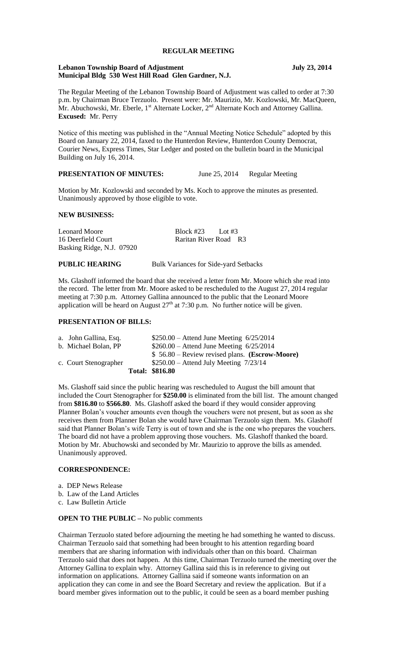## **REGULAR MEETING**

#### **Lebanon Township Board of Adjustment July 23, 2014 Municipal Bldg 530 West Hill Road Glen Gardner, N.J.**

The Regular Meeting of the Lebanon Township Board of Adjustment was called to order at 7:30 p.m. by Chairman Bruce Terzuolo. Present were: Mr. Maurizio, Mr. Kozlowski, Mr. MacQueen, Mr. Abuchowski, Mr. Eberle,  $1^{st}$  Alternate Locker,  $2^{nd}$  Alternate Koch and Attorney Gallina. **Excused:** Mr. Perry

Notice of this meeting was published in the "Annual Meeting Notice Schedule" adopted by this Board on January 22, 2014, faxed to the Hunterdon Review, Hunterdon County Democrat, Courier News, Express Times, Star Ledger and posted on the bulletin board in the Municipal Building on July 16, 2014.

## **PRESENTATION OF MINUTES:** June 25, 2014 Regular Meeting

Motion by Mr. Kozlowski and seconded by Ms. Koch to approve the minutes as presented. Unanimously approved by those eligible to vote.

#### **NEW BUSINESS:**

Leonard Moore Block #23 Lot #3 16 Deerfield Court Raritan River Road R3 Basking Ridge, N.J. 07920

**PUBLIC HEARING** Bulk Variances for Side-yard Setbacks

Ms. Glashoff informed the board that she received a letter from Mr. Moore which she read into the record. The letter from Mr. Moore asked to be rescheduled to the August 27, 2014 regular meeting at 7:30 p.m. Attorney Gallina announced to the public that the Leonard Moore application will be heard on August  $27<sup>th</sup>$  at 7:30 p.m. No further notice will be given.

## **PRESENTATION OF BILLS:**

|                       | <b>Total: \$816.80</b>                          |
|-----------------------|-------------------------------------------------|
| c. Court Stenographer | $$250.00 -$ Attend July Meeting $7/23/14$       |
|                       | $$56.80 - Review revised plans. (Escrow-Moore)$ |
| b. Michael Bolan, PP  | $$260.00 -$ Attend June Meeting $6/25/2014$     |
| a. John Gallina, Esq. | $$250.00 -$ Attend June Meeting $6/25/2014$     |

Ms. Glashoff said since the public hearing was rescheduled to August the bill amount that included the Court Stenographer for **\$250.00** is eliminated from the bill list. The amount changed from **\$816.80** to **\$566.80**. Ms. Glashoff asked the board if they would consider approving Planner Bolan's voucher amounts even though the vouchers were not present, but as soon as she receives them from Planner Bolan she would have Chairman Terzuolo sign them. Ms. Glashoff said that Planner Bolan's wife Terry is out of town and she is the one who prepares the vouchers. The board did not have a problem approving those vouchers. Ms. Glashoff thanked the board. Motion by Mr. Abuchowski and seconded by Mr. Maurizio to approve the bills as amended. Unanimously approved.

### **CORRESPONDENCE:**

- a. DEP News Release
- b. Law of the Land Articles
- c. Law Bulletin Article

### **OPEN TO THE PUBLIC** – No public comments

Chairman Terzuolo stated before adjourning the meeting he had something he wanted to discuss. Chairman Terzuolo said that something had been brought to his attention regarding board members that are sharing information with individuals other than on this board. Chairman Terzuolo said that does not happen. At this time, Chairman Terzuolo turned the meeting over the Attorney Gallina to explain why. Attorney Gallina said this is in reference to giving out information on applications. Attorney Gallina said if someone wants information on an application they can come in and see the Board Secretary and review the application. But if a board member gives information out to the public, it could be seen as a board member pushing